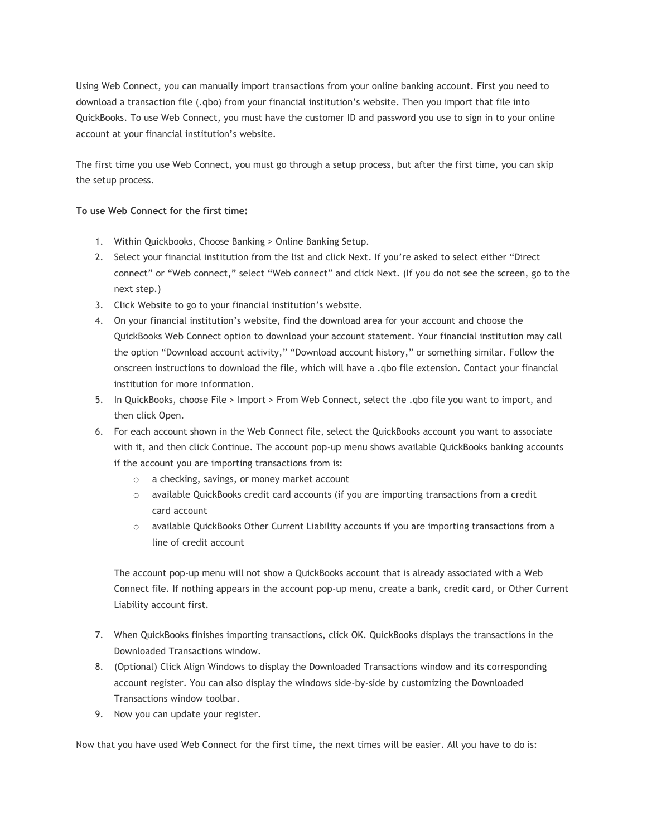Using Web Connect, you can manually import transactions from your online banking account. First you need to download a transaction file (.qbo) from your financial institution's website. Then you import that file into QuickBooks. To use Web Connect, you must have the customer ID and password you use to sign in to your online account at your financial institution's website.

The first time you use Web Connect, you must go through a setup process, but after the first time, you can skip the setup process.

## **To use Web Connect for the first time:**

- 1. Within Quickbooks, Choose Banking > Online Banking Setup.
- 2. Select your financial institution from the list and click Next. If you're asked to select either "Direct connect" or "Web connect," select "Web connect" and click Next. (If you do not see the screen, go to the next step.)
- 3. Click Website to go to your financial institution's website.
- 4. On your financial institution's website, find the download area for your account and choose the QuickBooks Web Connect option to download your account statement. Your financial institution may call the option "Download account activity," "Download account history," or something similar. Follow the onscreen instructions to download the file, which will have a .qbo file extension. Contact your financial institution for more information.
- 5. In QuickBooks, choose File > Import > From Web Connect, select the .qbo file you want to import, and then click Open.
- 6. For each account shown in the Web Connect file, select the QuickBooks account you want to associate with it, and then click Continue. The account pop-up menu shows available QuickBooks banking accounts if the account you are importing transactions from is:
	- o a checking, savings, or money market account
	- o available QuickBooks credit card accounts (if you are importing transactions from a credit card account
	- $\circ$  available QuickBooks Other Current Liability accounts if you are importing transactions from a line of credit account

The account pop-up menu will not show a QuickBooks account that is already associated with a Web Connect file. If nothing appears in the account pop-up menu, create a bank, credit card, or Other Current Liability account first.

- 7. When QuickBooks finishes importing transactions, click OK. QuickBooks displays the transactions in the Downloaded Transactions window.
- 8. (Optional) Click Align Windows to display the Downloaded Transactions window and its corresponding account register. You can also display the windows side-by-side by customizing the Downloaded Transactions window toolbar.
- 9. Now you can update your register.

Now that you have used Web Connect for the first time, the next times will be easier. All you have to do is: